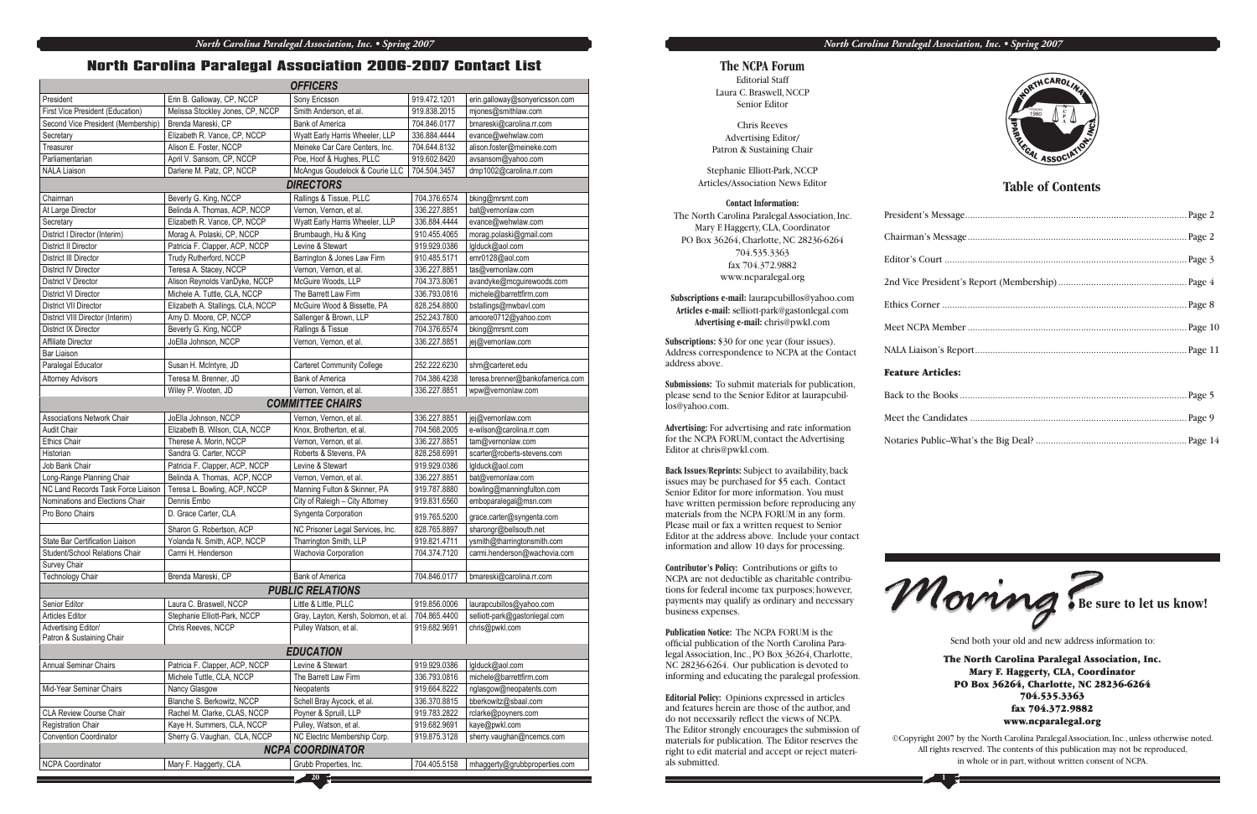|                                                                                                                             |                                                  | <b>OFFICERS</b>                                    |              |                                               |
|-----------------------------------------------------------------------------------------------------------------------------|--------------------------------------------------|----------------------------------------------------|--------------|-----------------------------------------------|
| President                                                                                                                   | Erin B. Galloway, CP, NCCP                       | Sony Ericsson                                      | 919.472.1201 | erin.galloway@sonyericsson.com                |
| First Vice President (Education)                                                                                            | Melissa Stockley Jones, CP, NCCP                 | Smith Anderson, et al.                             | 919.838.2015 | mjones@smithlaw.com                           |
| Second Vice President (Membership)                                                                                          | Brenda Mareski, CP                               | <b>Bank of America</b>                             | 704.846.0177 | bmareski@carolina.rr.com                      |
| Secretary                                                                                                                   | Elizabeth R. Vance, CP, NCCP                     | Wyatt Early Harris Wheeler, LLP                    | 336.884.4444 | evance@wehwlaw.com                            |
| Treasurer                                                                                                                   | Alison E. Foster, NCCP                           | Meineke Car Care Centers, Inc.                     | 704.644.8132 | alison.foster@meineke.com                     |
| Parliamentarian                                                                                                             | April V. Sansom, CP, NCCP                        | Poe, Hoof & Hughes, PLLC                           | 919.602.8420 | avsansom@yahoo.com                            |
| <b>NALA Liaison</b>                                                                                                         | Darlene M. Patz, CP, NCCP                        | McAngus Goudelock & Courie LLC                     | 704.504.3457 | dmp1002@carolina.rr.com                       |
|                                                                                                                             |                                                  | <b>DIRECTORS</b>                                   |              |                                               |
| Chairman                                                                                                                    | Beverly G. King, NCCP                            | Rallings & Tissue, PLLC                            | 704.376.6574 | bking@mrsmt.com                               |
| At Large Director                                                                                                           | Belinda A. Thomas, ACP, NCCP                     | Vernon, Vernon, et al.                             | 336.227.8851 | bat@vernonlaw.com                             |
| Secretary                                                                                                                   | Elizabeth R. Vance, CP, NCCP                     | Wyatt Early Harris Wheeler, LLP                    | 336.884.4444 | evance@wehwlaw.com                            |
| District I Director (Interim)                                                                                               | Morag A. Polaski, CP, NCCP                       | Brumbaugh, Hu & King                               | 910.455.4065 | morag.polaski@gmail.com                       |
| <b>District II Director</b>                                                                                                 | Patricia F. Clapper, ACP, NCCP                   | Levine & Stewart                                   | 919.929.0386 | lglduck@aol.com                               |
| <b>District III Director</b>                                                                                                | Trudy Rutherford, NCCP                           | Barrington & Jones Law Firm                        | 910.485.5171 | emr0128@aol.com                               |
| District IV Director                                                                                                        | Teresa A. Stacey, NCCP                           | Vernon, Vernon, et al.                             | 336.227.8851 | tas@vernonlaw.com                             |
| District V Director                                                                                                         | Alison Reynolds VanDyke, NCCP                    | McGuire Woods, LLP                                 | 704.373.8061 | avandyke@mcguirewoods.com                     |
| <b>District VI Director</b>                                                                                                 | Michele A. Tuttle, CLA, NCCP                     | The Barrett Law Firm                               | 336.793.0816 | michele@barrettfirm.com                       |
| District VII Director                                                                                                       | Elizabeth A. Stallings, CLA, NCCP                | McGuire Wood & Bissette, PA                        | 828.254.8800 | bstallings@mwbavl.com                         |
| District VIII Director (Interim)                                                                                            | Amy D. Moore, CP, NCCP                           | Sallenger & Brown, LLP                             | 252.243.7800 | amoore0712@yahoo.com                          |
| District IX Director                                                                                                        | Beverly G. King, NCCP                            | Rallings & Tissue                                  | 704.376.6574 | bking@mrsmt.com                               |
| Affiliate Director                                                                                                          | JoElla Johnson, NCCP                             | Vernon, Vernon, et al.                             | 336.227.8851 | jej@vernonlaw.com                             |
| <b>Bar Liaison</b>                                                                                                          |                                                  |                                                    |              |                                               |
| Paralegal Educator                                                                                                          | Susan H. McIntyre, JD                            | <b>Carteret Community College</b>                  | 252.222.6230 | shm@carteret.edu                              |
| <b>Attorney Advisors</b>                                                                                                    | Teresa M. Brenner, JD                            | <b>Bank of America</b>                             | 704.386.4238 | teresa.brenner@bankofamerica.com              |
|                                                                                                                             | Wiley P. Wooten, JD                              | Vernon, Vernon, et al.                             | 336.227.8851 | wpw@vernonlaw.com                             |
|                                                                                                                             |                                                  | <b>COMMITTEE CHAIRS</b>                            |              |                                               |
| <b>Associations Network Chair</b>                                                                                           | JoElla Johnson, NCCP                             |                                                    | 336.227.8851 | jej@vernonlaw.com                             |
| <b>Audit Chair</b>                                                                                                          |                                                  | Vernon, Vernon, et al.<br>Knox, Brotherton, et al. | 704.568.2005 |                                               |
|                                                                                                                             | Elizabeth B. Wilson, CLA, NCCP                   |                                                    | 336.227.8851 | e-wilson@carolina.rr.com<br>tam@vernonlaw.com |
| <b>Ethics Chair</b><br>Historian                                                                                            | Therese A. Morin, NCCP<br>Sandra G. Carter, NCCP | Vernon, Vernon, et al.<br>Roberts & Stevens, PA    | 828.258.6991 | scarter@roberts-stevens.com                   |
| Job Bank Chair                                                                                                              | Patricia F. Clapper, ACP, NCCP                   | Levine & Stewart                                   | 919.929.0386 | lglduck@aol.com                               |
| Long-Range Planning Chair                                                                                                   | Belinda A. Thomas, ACP, NCCP                     | Vernon, Vernon, et al.                             | 336.227.8851 | bat@vernonlaw.com                             |
| NC Land Records Task Force Liaison                                                                                          | Teresa L. Bowling, ACP, NCCP                     | Manning Fulton & Skinner, PA                       | 919.787.8880 | bowling@manningfulton.com                     |
| Nominations and Elections Chair                                                                                             | Dennis Embo                                      | City of Raleigh - City Attorney                    | 919.831.6560 | emboparalegal@msn.com                         |
| Pro Bono Chairs                                                                                                             | D. Grace Carter, CLA                             | Syngenta Corporation                               |              |                                               |
|                                                                                                                             |                                                  |                                                    | 919.765.5200 | grace.carter@syngenta.com                     |
|                                                                                                                             | Sharon G. Robertson, ACP                         | NC Prisoner Legal Services, Inc.                   | 828.765.8897 | sharongr@bellsouth.net                        |
| State Bar Certification Liaison                                                                                             | Yolanda N. Smith, ACP, NCCP                      | Tharrington Smith, LLP                             | 919.821.4711 | ysmith@tharringtonsmith.com                   |
| Student/School Relations Chair                                                                                              | Carmi H. Henderson                               | Wachovia Corporation                               | 704.374.7120 | carmi.henderson@wachovia.com                  |
| Survey Chair                                                                                                                |                                                  |                                                    |              |                                               |
| Technology Chair                                                                                                            | Brenda Mareski, CP                               | Bank of America                                    | 704.846.0177 | bmareski@carolina.rr.com                      |
| <b>PUBLIC RELATIONS</b>                                                                                                     |                                                  |                                                    |              |                                               |
| Senior Editor                                                                                                               | Laura C. Braswell, NCCP                          | Little & Little, PLLC                              | 919.856.0006 | laurapcubillos@yahoo.com                      |
| <b>Articles Editor</b>                                                                                                      | Stephanie Elliott-Park, NCCP                     | Gray, Layton, Kersh, Solomon, et al.               | 704.865.4400 | selliott-park@gastonlegal.com                 |
| Advertising Editor/                                                                                                         | Chris Reeves, NCCP                               | Pulley Watson, et al.                              | 919.682.9691 | chris@pwkl.com                                |
| Patron & Sustaining Chair                                                                                                   |                                                  |                                                    |              |                                               |
| <b>EDUCATION</b>                                                                                                            |                                                  |                                                    |              |                                               |
| Annual Seminar Chairs                                                                                                       | Patricia F. Clapper, ACP, NCCP                   | Levine & Stewart                                   | 919.929.0386 | lglduck@aol.com                               |
|                                                                                                                             | Michele Tuttle, CLA, NCCP                        | The Barrett Law Firm                               | 336.793.0816 | michele@barrettfirm.com                       |
| Mid-Year Seminar Chairs                                                                                                     | Nancy Glasgow                                    | Neopatents                                         | 919.664.8222 | nglasgow@neopatents.com                       |
|                                                                                                                             | Blanche S. Berkowitz, NCCP                       | Schell Bray Aycock, et al.                         | 336.370.8815 | bberkowitz@sbaal.com                          |
| CLA Review Course Chair                                                                                                     | Rachel M. Clarke, CLAS, NCCP                     | Poyner & Spruill, LLP                              | 919.783.2822 | rclarke@poyners.com                           |
| Registration Chair                                                                                                          | Kaye H. Summers, CLA, NCCP                       | Pulley, Watson, et al.                             | 919.682.9691 | kaye@pwkl.com                                 |
| <b>Convention Coordinator</b>                                                                                               | Sherry G. Vaughan, CLA, NCCP                     | NC Electric Membership Corp.                       | 919.875.3128 | sherry.vaughan@ncemcs.com                     |
| <b>NCPA COORDINATOR</b>                                                                                                     |                                                  |                                                    |              |                                               |
| <b>NCPA Coordinator</b><br>Mary F. Haggerty, CLA<br>Grubb Properties, Inc.<br>704.405.5158<br>mhaggerty@grubbproperties.com |                                                  |                                                    |              |                                               |
|                                                                                                                             |                                                  |                                                    |              |                                               |

#### **North Carolina Paralegal Association 2006-2007 Contact List**

**1**

#### *North Carolina Paralegal Association, Inc. • Spring 2007*



#### **The NCPA Forum**

Editorial Staff Laura C. Braswell, NCCP Senior Editor

Chris Reeves Advertising Editor/ Patron & Sustaining Chair

Stephanie Elliott-Park, NCCP Articles/Association News Editor

#### **Contact Information:**

The North Carolina Paralegal Association, Inc. Mary F. Haggerty, CLA, Coordinator PO Box 36264, Charlotte, NC 28236-6264 704.535.3363 fax 704.372.9882 www.ncparalegal.org

**Subscriptions e-mail:** laurapcubillos@yahoo.com **Articles e-mail:** selliott-park@gastonlegal.com **Advertising e-mail:** chris@pwkl.com

**Subscriptions:** \$30 for one year (four issues). Address correspondence to NCPA at the Contact address above.

**Submissions:** To submit materials for publication, please send to the Senior Editor at laurapcubillos@yahoo.com.

**Advertising:** For advertising and rate information for the NCPA FORUM, contact the Advertising Editor at chris@pwkl.com.

**Back Issues/Reprints:** Subject to availability, back issues may be purchased for \$5 each. Contact Senior Editor for more information. You must have written permission before reproducing any materials from the NCPA FORUM in any form. Please mail or fax a written request to Senior Editor at the address above. Include your contact information and allow 10 days for processing.

**Contributor's Policy:** Contributions or gifts to NCPA are not deductible as charitable contributions for federal income tax purposes; however, payments may qualify as ordinary and necessary business expenses.

**Publication Notice:** The NCPA FORUM is the official publication of the North Carolina Paralegal Association, Inc., PO Box 36264, Charlotte, NC 28236-6264. Our publication is devoted to informing and educating the paralegal profession.

**Editorial Policy:** Opinions expressed in articles and features herein are those of the author, and do not necessarily reflect the views of NCPA. The Editor strongly encourages the submission of materials for publication. The Editor reserves the right to edit material and accept or reject materials submitted.

#### **Table of Contents**



Send both your old and new address information to:

The North Carolina Paralegal Association, Inc. Mary F. Haggerty, CLA, Coordinator PO Box 36264, Charlotte, NC 28236-6264 704.535.3363 fax 704.372.9882 www.ncparalegal.org

©Copyright 2007 by the North Carolina Paralegal Association, Inc., unless otherwise noted. All rights reserved. The contents of this publication may not be reproduced, in whole or in part, without written consent of NCPA.

| <b>Feature Articles:</b> |  |
|--------------------------|--|
|                          |  |
|                          |  |
|                          |  |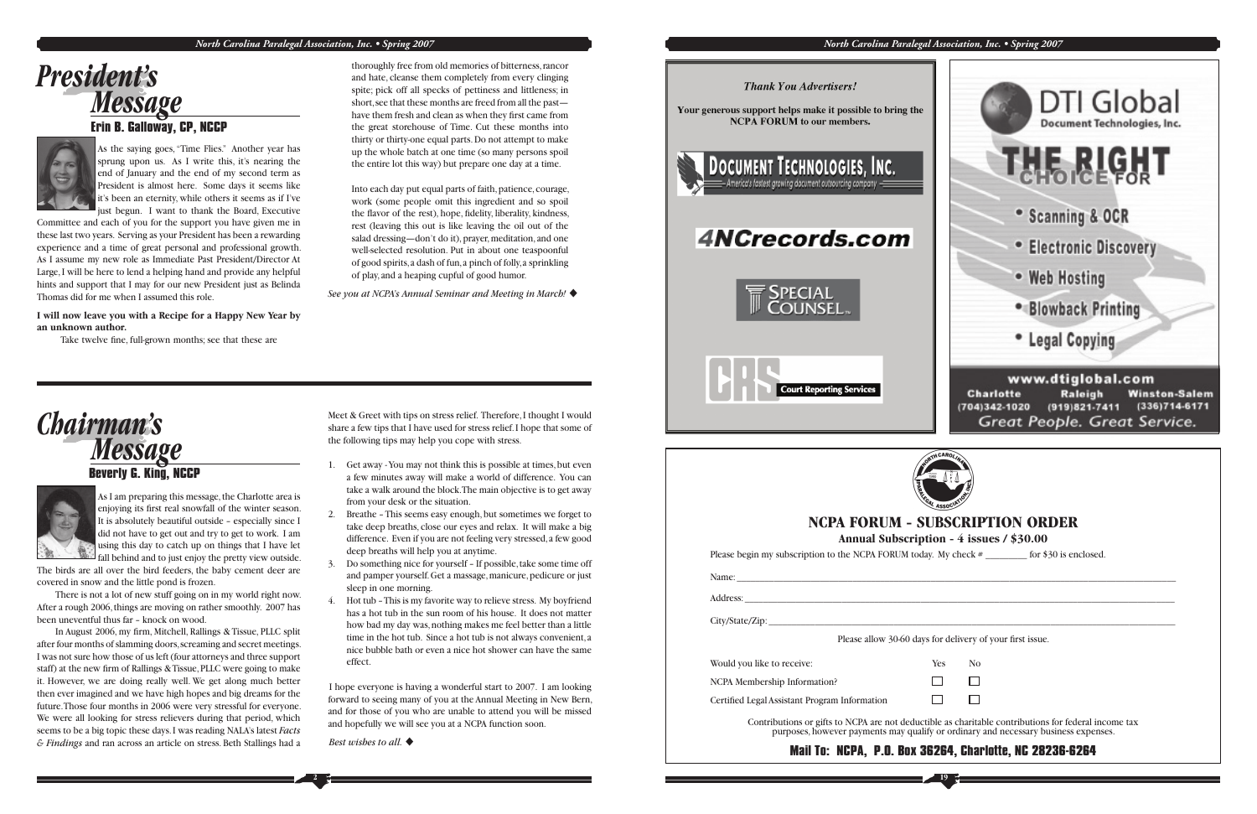#### *North Carolina Paralegal Association, Inc. • Spring 2007*

# *President's Message* **Erin B. Galloway, CP, NCCP**



#### **Beverly G. King, NCCP**



*Chairman's Message* Meet & Greet with tips on stress relief. Therefore, I thought I would share a few tips that I have used for stress relief. I hope that some of the following tips may help you cope with stress.

As I am preparing this message, the Charlotte area is enjoying its first real snowfall of the winter season. It is absolutely beautiful outside – especially since I did not have to get out and try to get to work. I am using this day to catch up on things that I have let fall behind and to just enjoy the pretty view outside.

- 1. Get away You may not think this is possible at times, but even a few minutes away will make a world of difference. You can take a walk around the block. The main objective is to get away from your desk or the situation.
- 2. Breathe This seems easy enough, but sometimes we forget to take deep breaths, close our eyes and relax. It will make a big difference. Even if you are not feeling very stressed, a few good deep breaths will help you at anytime.
- 3. Do something nice for yourself If possible, take some time off and pamper yourself. Get a massage, manicure, pedicure or just sleep in one morning.
- 4. Hot tub This is my favorite way to relieve stress. My boyfriend has a hot tub in the sun room of his house. It does not matter how bad my day was, nothing makes me feel better than a little time in the hot tub. Since a hot tub is not always convenient, a nice bubble bath or even a nice hot shower can have the same effect.

I hope everyone is having a wonderful start to 2007. I am looking forward to seeing many of you at the Annual Meeting in New Bern, and for those of you who are unable to attend you will be missed and hopefully we will see you at a NCPA function soon.

Best wishes to all.

**2**

**Thank You Advertisers!** 

Your generous support helps make it possible to bring the **NCPA FORUM** to our members.



# 4NCrecords.com







Please begin my subscription to the NCPA FORUM today. My check  $\#$  \_\_\_\_\_\_\_\_\_ for \$30 is enclosed.

In August 2006, my firm, Mitchell, Rallings & Tissue, PLLC split after four months of slamming doors, screaming and secret meetings. I was not sure how those of us left (four attorneys and three support staff) at the new firm of Rallings & Tissue, PLLC were going to make it. However, we are doing really well. We get along much better then ever imagined and we have high hopes and big dreams for the future. Those four months in 2006 were very stressful for everyone. We were all looking for stress relievers during that period, which seems to be a big topic these days. I was reading NALA's latest *Facts & Findings* and ran across an article on stress. Beth Stallings had a

The birds are all over the bird feeders, the baby cement deer are covered in snow and the little pond is frozen.

 There is not a lot of new stuff going on in my world right now. After a rough 2006, things are moving on rather smoothly. 2007 has been uneventful thus far – knock on wood.

As the saying goes, "Time Flies." Another year has sprung upon us. As I write this, it's nearing the end of January and the end of my second term as President is almost here. Some days it seems like it's been an eternity, while others it seems as if I've just begun. I want to thank the Board, Executive

Committee and each of you for the support you have given me in these last two years. Serving as your President has been a rewarding experience and a time of great personal and professional growth. As I assume my new role as Immediate Past President/Director At Large, I will be here to lend a helping hand and provide any helpful hints and support that I may for our new President just as Belinda Thomas did for me when I assumed this role.

**I will now leave you with a Recipe for a Happy New Year by an unknown author.**

Take twelve fine, full-grown months; see that these are



Into each day put equal parts of faith, patience, courage, work (some people omit this ingredient and so spoil the flavor of the rest), hope, fidelity, liberality, kindness, rest (leaving this out is like leaving the oil out of the salad dressing—don't do it), prayer, meditation, and one well-selected resolution. Put in about one teaspoonful of good spirits, a dash of fun, a pinch of folly, a sprinkling of play, and a heaping cupful of good humor.

*See you at NCPA's Annual Seminar and Meeting in March!*  u



*North Carolina Paralegal Association, Inc. • Spring 2007*



#### **NCPA FORUM - SUBSCRIPTION ORDER**

**Annual Subscription - 4 issues / \$30.00**

Please allow 30-60 days for delivery of your first issue.



Name: \_\_\_\_\_\_\_\_\_\_\_\_\_\_\_\_\_\_\_\_\_\_\_\_\_\_\_\_\_\_\_\_\_\_\_\_\_\_\_\_\_\_\_\_\_\_\_\_\_\_\_\_\_\_\_\_\_\_\_\_\_\_\_\_\_\_\_\_\_\_\_\_\_\_\_\_\_\_\_\_\_\_\_\_\_\_\_\_\_\_\_\_\_\_\_

Address: \_\_\_\_\_\_\_\_\_\_\_\_\_\_\_\_\_\_\_\_\_\_\_\_\_\_\_\_\_\_\_\_\_\_\_\_\_\_\_\_\_\_\_\_\_\_\_\_\_\_\_\_\_\_\_\_\_\_\_\_\_\_\_\_\_\_\_\_\_\_\_\_\_\_\_\_\_\_\_\_\_\_\_\_\_\_\_\_\_\_\_\_\_

City/State/Zip:

Would you like to receive: Yes No

NCPA Membership Information?

Certified Legal Assistant Program Information

Contributions or gifts to NCPA are not deductible as charitable contributions for federal income tax purposes, however payments may qualify or ordinary and necessary business expenses.

#### **Mail To: NCPA, P.O. Box 36264, Charlotte, NC 28236-6264**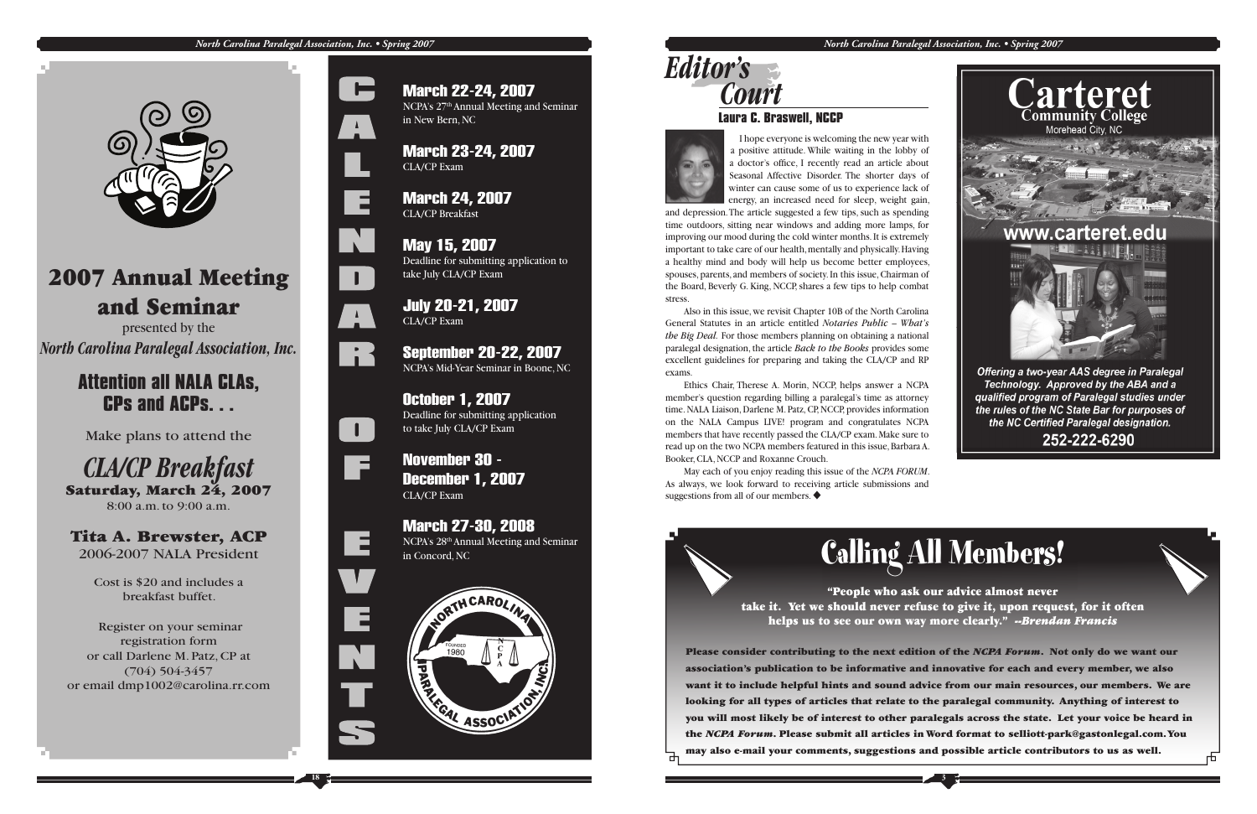#### *North Carolina Paralegal Association, Inc. • Spring 2007*



March 22-24, 2007

NCPA's 27th Annual Meeting and Seminar

in New Bern, NC

March 23-24, 2007

CLA/CP Exam

March 24, 2007

CLA/CP Breakfast

May 15, 2007

Deadline for submitting application to

take July CLA/CP Exam

July 20-21, 2007

CLA/CP Exam

September 20-22, 2007 NCPA's Mid-Year Seminar in Boone, NC

October 1, 2007

*CLA/CP Breakfast*<br>
Saturday, March 24, 2007 8:00 a.m. to 9:00 a.m.

Deadline for submitting application



to take July CLA/CP Exam

November 30 -

December 1, 2007 CLA/CP Exam

March 27-30, 2008 NCPA's 28th Annual Meeting and Seminar in Concord, NC

# 2007 Annual Meeting and Seminar

presented by the *North Carolina Paralegal Association, Inc.*

## **Attention all NALA CLAs, CPs and ACPs. . .**

Make plans to attend the

#### Tita A. Brewster, ACP 2006-2007 NALA President

Cost is \$20 and includes a breakfast buffet.

 Register on your seminar registration form or call Darlene M. Patz, CP at (704) 504-3457 or email dmp1002@carolina.rr.com













**3**

*North Carolina Paralegal Association, Inc. • Spring 2007*



#### **Laura C. Braswell, NCCP**



# *Editor's Court*

# **Calling All Members!**

"People who ask our advice almost never take it. Yet we should never refuse to give it, upon request, for it often helps us to see our own way more clearly." --*Brendan Francis*

**Please consider contributing to the next edition of the** *NCPA Forum***. Not only do we want our association's publication to be informative and innovative for each and every member, we also want it to include helpful hints and sound advice from our main resources, our members. We are looking for all types of articles that relate to the paralegal community. Anything of interest to you will most likely be of interest to other paralegals across the state. Let your voice be heard in the** *NCPA Forum***. Please submit all articles in Word format to selliott-park@gastonlegal.com. You may also e-mail your comments, suggestions and possible article contributors to us as well.**

 May each of you enjoy reading this issue of the *NCPA FORUM*. As always, we look forward to receiving article submissions and suggestions from all of our members.  $\blacklozenge$ 



 I hope everyone is welcoming the new year with a positive attitude. While waiting in the lobby of a doctor's office, I recently read an article about Seasonal Affective Disorder. The shorter days of winter can cause some of us to experience lack of energy, an increased need for sleep, weight gain,

and depression. The article suggested a few tips, such as spending time outdoors, sitting near windows and adding more lamps, for improving our mood during the cold winter months. It is extremely important to take care of our health, mentally and physically. Having a healthy mind and body will help us become better employees, spouses, parents, and members of society. In this issue, Chairman of the Board, Beverly G. King, NCCP, shares a few tips to help combat stress.

 Also in this issue, we revisit Chapter 10B of the North Carolina General Statutes in an article entitled *Notaries Public – What's the Big Deal.* For those members planning on obtaining a national paralegal designation, the article *Back to the Books* provides some excellent guidelines for preparing and taking the CLA/CP and RP exams.

 Ethics Chair, Therese A. Morin, NCCP, helps answer a NCPA member's question regarding billing a paralegal's time as attorney time. NALA Liaison, Darlene M. Patz, CP, NCCP, provides information on the NALA Campus LIVE! program and congratulates NCPA members that have recently passed the CLA/CP exam. Make sure to read up on the two NCPA members featured in this issue, Barbara A. Booker, CLA, NCCP and Roxanne Crouch.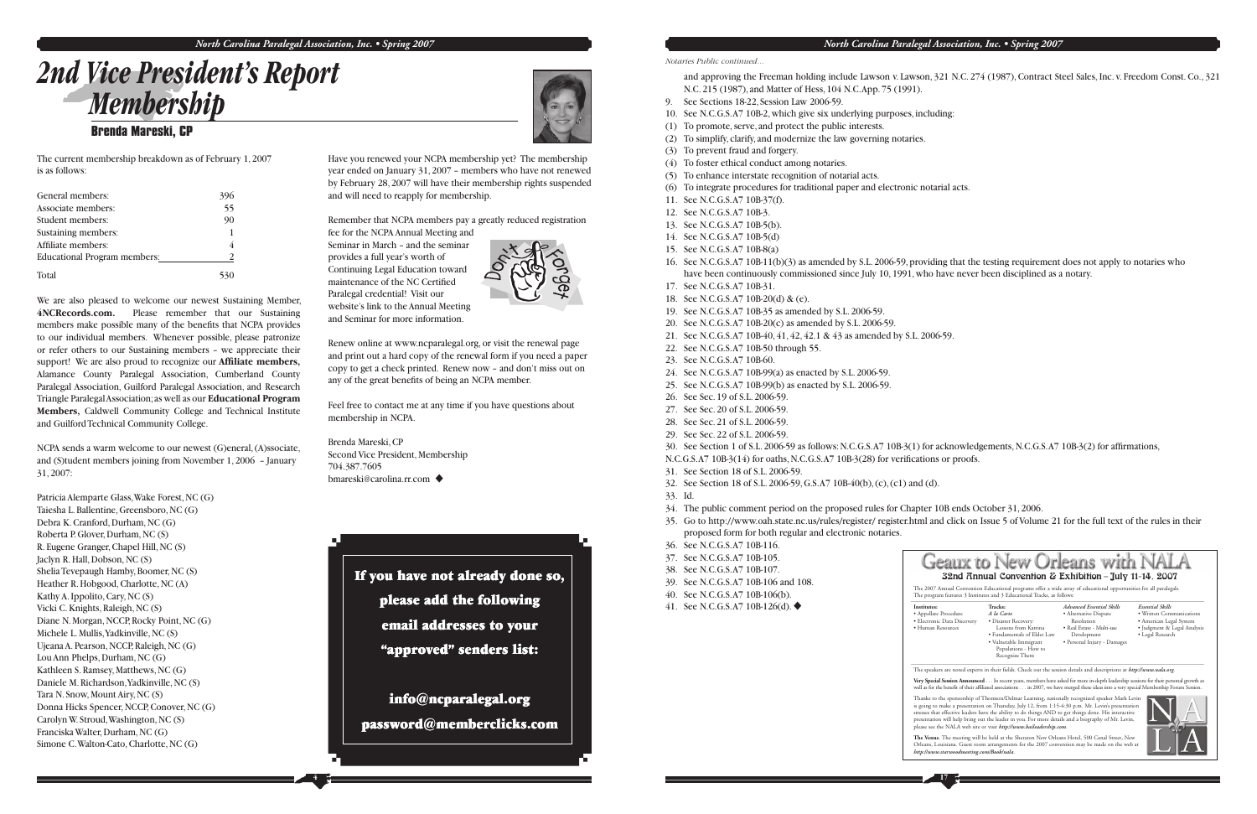# *2nd Vice President's Report Membership*  **Brenda Mareski, CP**

The current membership breakdown as of February 1, 2007 is as follows:

| General members:             | 396 |
|------------------------------|-----|
| Associate members:           | 55  |
| Student members:             | 90  |
| Sustaining members:          |     |
| Affiliate members:           |     |
| Educational Program members: |     |
| Total                        |     |

We are also pleased to welcome our newest Sustaining Member, **4NCRecords.com.** Please remember that our Sustaining members make possible many of the benefits that NCPA provides to our individual members. Whenever possible, please patronize or refer others to our Sustaining members – we appreciate their support! We are also proud to recognize our **Affiliate members,** Alamance County Paralegal Association, Cumberland County Paralegal Association, Guilford Paralegal Association, and Research Triangle Paralegal Association; as well as our **Educational Program Members,** Caldwell Community College and Technical Institute and Guilford Technical Community College.

NCPA sends a warm welcome to our newest (G)eneral, (A)ssociate, and (S)tudent members joining from November 1, 2006 – January 31, 2007:

Renew online at www.ncparalegal.org, or visit the renewal page and print out a hard copy of the renewal form if you need a paper copy to get a check printed. Renew now – and don't miss out on any of the great benefits of being an NCPA member.

Brenda Mareski, CP Second Vice President, Membership 704.387.7605 bmareski@carolina.rr.com ♦

Patricia Alemparte Glass, Wake Forest, NC (G) Taiesha L. Ballentine, Greensboro, NC (G) Debra K. Cranford, Durham, NC (G) Roberta P. Glover, Durham, NC (S) R. Eugene Granger, Chapel Hill, NC (S) Jaclyn R. Hall, Dobson, NC (S) Shelia Tevepaugh Hamby, Boomer, NC (S) Heather R. Hobgood, Charlotte, NC (A) Kathy A. Ippolito, Cary, NC (S) Vicki C. Knights, Raleigh, NC (S) Diane N. Morgan, NCCP, Rocky Point, NC (G) Michele L. Mullis, Yadkinville, NC (S) Ujeana A. Pearson, NCCP, Raleigh, NC (G) Lou Ann Phelps, Durham, NC (G) Kathleen S. Ramsey, Matthews, NC (G) Daniele M. Richardson, Yadkinville, NC (S) Tara N. Snow, Mount Airy, NC (S) Donna Hicks Spencer, NCCP, Conover, NC (G) Carolyn W. Stroud, Washington, NC (S) Franciska Walter, Durham, NC (G) Simone C. Walton-Cato, Charlotte, NC (G)



အိ

- N.C. 215 (1987), and Matter of Hess, 104 N.C. App. 75 (1991).
- 9. See Sections 18-22, Session Law 2006-59.
- 10. See N.C.G.S. A7 10B-2, which give six underlying purposes, including:
- (1) To promote, serve, and protect the public interests.
- (2) To simplify, clarify, and modernize the law governing notaries.
- (3) To prevent fraud and forgery.
- (4) To foster ethical conduct among notaries.
- (5) To enhance interstate recognition of notarial acts.
- (6) To integrate procedures for traditional paper and electronic notarial acts.
- 11. See N.C.G.S. A7 10B-37(f).
- 12. See N.C.G.S. A7 10B-3.
- 13. See N.C.G.S. A7 10B-5(b).
- 14. See N.C.G.S. A7 10B-5(d)
- 15. See N.C.G.S. A7 10B-8(a)
- have been continuously commissioned since July 10, 1991, who have never been disciplined as a notary.
- 17. See N.C.G.S. A7 10B-31.
- 18. See N.C.G.S. A7 10B-20(d) & (e).
- 19. See N.C.G.S. A7 10B-35 as amended by S.L. 2006-59.
- 20. See N.C.G.S. A7 10B-20(c) as amended by S.L. 2006-59.
- 21. See N.C.G.S. A7 10B-40, 41, 42, 42.1 & 43 as amended by S.L. 2006-59.
- 22. See N.C.G.S. A7 10B-50 through 55.
- 23. See N.C.G.S. A7 10B-60.
- 24. See N.C.G.S. A7 10B-99(a) as enacted by S.L. 2006-59.
- 25. See N.C.G.S. A7 10B-99(b) as enacted by S.L. 2006-59.
- 26. See Sec. 19 of S.L. 2006-59.
- 27. See Sec. 20 of S.L. 2006-59.
- 28. See Sec. 21 of S.L. 2006-59.
- 29. See Sec. 22 of S.L. 2006-59.
- 
- N.C.G.S.A7 10B-3(14) for oaths, N.C.G.S.A7 10B-3(28) for verifications or proofs.
- 31. See Section 18 of S.L. 2006-59.
- 32. See Section 18 of S.L. 2006-59, G.S. A7 10B-40(b), (c), (c1) and (d).
- 33. Id.
- 34. The public comment period on the proposed rules for Chapter 10B ends October 31, 2006.
- proposed form for both regular and electronic notaries.
- 36. See N.C.G.S. A7 10B-116.
- 37. See N.C.G.S. A7 10B-105.
- 38. See N.C.G.S. A7 10B-107.
- 39. See N.C.G.S. A7 10B-106 and 108.
- 40. See N.C.G.S. A7 10B-106(b).
- 41. See N.C.G.S.A7 10B-126(d).  $\blacklozenge$

|  | The<br>The            |
|--|-----------------------|
|  | Insti<br>$\bullet$ Ap |
|  | $\bullet$ Ele         |
|  | $\cdot$ H             |
|  |                       |



Have you renewed your NCPA membership yet? The membership year ended on January 31, 2007 – members who have not renewed by February 28, 2007 will have their membership rights suspended and will need to reapply for membership.

Remember that NCPA members pay a greatly reduced registration

fee for the NCPA Annual Meeting and Seminar in March – and the seminar provides a full year's worth of Continuing Legal Education toward maintenance of the NC Certified Paralegal credential! Visit our website's link to the Annual Meeting and Seminar for more information.

Feel free to contact me at any time if you have questions about membership in NCPA.

If you have not already done so, please add the following email addresses to your "approved" senders list: info@ncparalegal.org

password@memberclicks.com

#### *North Carolina Paralegal Association, Inc. • Spring 2007*

and approving the Freeman holding include Lawson v. Lawson, 321 N.C. 274 (1987), Contract Steel Sales, Inc. v. Freedom Const. Co., 321

16. See N.C.G.S. A7 10B-11(b)(3) as amended by S.L. 2006-59, providing that the testing requirement does not apply to notaries who

30. See Section 1 of S.L. 2006-59 as follows: N.C.G.S.A7 10B-3(1) for acknowledgements, N.C.G.S.A7 10B-3(2) for affirmations,



35. Go to http://www.oah.state.nc.us/rules/register/ register.html and click on Issue 5 of Volume 21 for the full text of the rules in their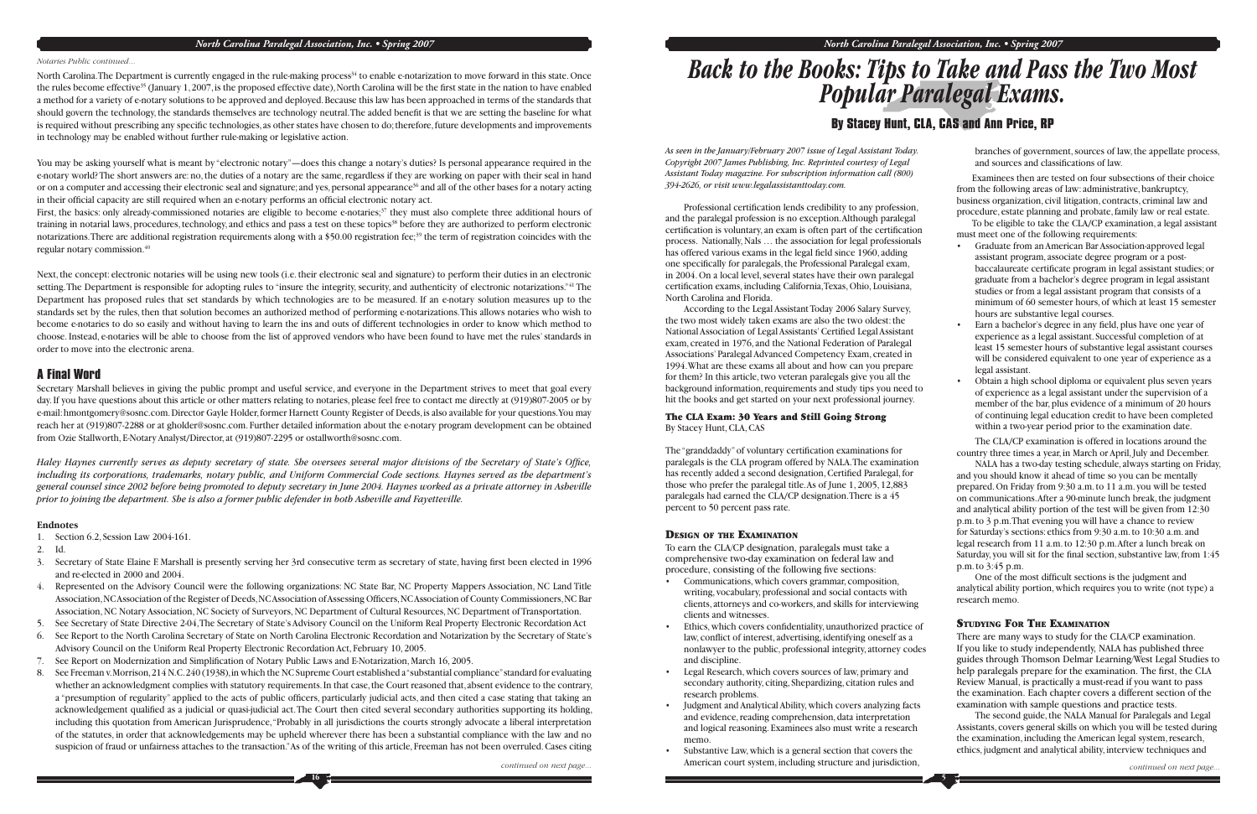#### *North Carolina Paralegal Association, Inc. • Spring 2007*

#### *Notaries Public continued...*

*continued on next page...*

North Carolina. The Department is currently engaged in the rule-making process<sup>34</sup> to enable e-notarization to move forward in this state. Once the rules become effective<sup>35</sup> (January 1, 2007, is the proposed effective date), North Carolina will be the first state in the nation to have enabled a method for a variety of e-notary solutions to be approved and deployed. Because this law has been approached in terms of the standards that should govern the technology, the standards themselves are technology neutral. The added benefit is that we are setting the baseline for what is required without prescribing any specific technologies, as other states have chosen to do; therefore, future developments and improvements in technology may be enabled without further rule-making or legislative action.

You may be asking yourself what is meant by "electronic notary"—does this change a notary's duties? Is personal appearance required in the e-notary world? The short answers are: no, the duties of a notary are the same, regardless if they are working on paper with their seal in hand or on a computer and accessing their electronic seal and signature; and yes, personal appearance<sup>36</sup> and all of the other bases for a notary acting in their official capacity are still required when an e-notary performs an official electronic notary act.

First, the basics: only already-commissioned notaries are eligible to become e-notaries;<sup>37</sup> they must also complete three additional hours of training in notarial laws, procedures, technology, and ethics and pass a test on these topics<sup>38</sup> before they are authorized to perform electronic notarizations. There are additional registration requirements along with a \$50.00 registration fee;<sup>39</sup> the term of registration coincides with the regular notary commission.<sup>40</sup>

Haley Haynes currently serves as deputy secretary of state. She oversees several major divisions of the Secretary of State's Office, *including its corporations, trademarks, notary public, and Uniform Commercial Code sections. Haynes served as the department's general counsel since 2002 before being promoted to deputy secretary in June 2004. Haynes worked as a private attorney in Asheville prior to joining the department. She is also a former public defender in both Asheville and Fayetteville.*

Next, the concept: electronic notaries will be using new tools (i.e. their electronic seal and signature) to perform their duties in an electronic setting. The Department is responsible for adopting rules to "insure the integrity, security, and authenticity of electronic notarizations."41 The Department has proposed rules that set standards by which technologies are to be measured. If an e-notary solution measures up to the standards set by the rules, then that solution becomes an authorized method of performing e-notarizations. This allows notaries who wish to become e-notaries to do so easily and without having to learn the ins and outs of different technologies in order to know which method to choose. Instead, e-notaries will be able to choose from the list of approved vendors who have been found to have met the rules' standards in order to move into the electronic arena.

#### **A Final Word**

Secretary Marshall believes in giving the public prompt and useful service, and everyone in the Department strives to meet that goal every day. If you have questions about this article or other matters relating to notaries, please feel free to contact me directly at (919)807-2005 or by e-mail: hmontgomery@sosnc.com. Director Gayle Holder, former Harnett County Register of Deeds, is also available for your questions. You may reach her at (919)807-2288 or at gholder@sosnc.com. Further detailed information about the e-notary program development can be obtained from Ozie Stallworth, E-Notary Analyst/Director, at (919)807-2295 or ostallworth@sosnc.com.

Professional certification lends credibility to any profession, and the paralegal profession is no exception. Although paralegal certification is voluntary, an exam is often part of the certification process. Nationally, Nals … the association for legal professionals has offered various exams in the legal field since 1960, adding one specifically for paralegals, the Professional Paralegal exam, in 2004. On a local level, several states have their own paralegal certification exams, including California, Texas, Ohio, Louisiana, North Carolina and Florida.

#### **Endnotes**

The "granddaddy" of voluntary certification examinations for paralegals is the CLA program offered by NALA. The examination has recently added a second designation, Certified Paralegal, for those who prefer the paralegal title. As of June 1, 2005, 12,883 paralegals had earned the CLA/CP designation. There is a 45 percent to 50 percent pass rate.

To earn the CLA/CP designation, paralegals must take a comprehensive two-day examination on federal law and procedure, consisting of the following five sections:

branches of government, sources of law, the appellate process, and sources and classifications of law.

- 1. Section 6.2, Session Law 2004-161.
- 2. Id.
- 3. Secretary of State Elaine F. Marshall is presently serving her 3rd consecutive term as secretary of state, having first been elected in 1996 and re-elected in 2000 and 2004.
- 4. Represented on the Advisory Council were the following organizations: NC State Bar, NC Property Mappers Association, NC Land Title Association, NC Association of the Register of Deeds, NC Association of Assessing Officers, NC Association of County Commissioners, NC Bar Association, NC Notary Association, NC Society of Surveyors, NC Department of Cultural Resources, NC Department of Transportation.
- 5. See Secretary of State Directive 2-04, The Secretary of State's Advisory Council on the Uniform Real Property Electronic Recordation Act
- 6. See Report to the North Carolina Secretary of State on North Carolina Electronic Recordation and Notarization by the Secretary of State's Advisory Council on the Uniform Real Property Electronic Recordation Act, February 10, 2005.
- 5. See Report on Modernization and Simplification of Notary Public Laws and E-Notarization, March 16, 2005.
- 8. See Freeman v. Morrison, 214 N.C. 240 (1938), in which the NC Supreme Court established a "substantial compliance" standard for evaluating whether an acknowledgment complies with statutory requirements. In that case, the Court reasoned that, absent evidence to the contrary, a "presumption of regularity" applied to the acts of public officers, particularly judicial acts, and then cited a case stating that taking an acknowledgement qualified as a judicial or quasi-judicial act. The Court then cited several secondary authorities supporting its holding, including this quotation from American Jurisprudence, "Probably in all jurisdictions the courts strongly advocate a liberal interpretation of the statutes, in order that acknowledgements may be upheld wherever there has been a substantial compliance with the law and no suspicion of fraud or unfairness attaches to the transaction." As of the writing of this article, Freeman has not been overruled. Cases citing

One of the most difficult sections is the judgment and analytical ability portion, which requires you to write (not type) a research memo.

# *Back to the Books: Tips to Take and Pass the Two Most Popular Paralegal Exams.*

#### **By Stacey Hunt, CLA, CAS and Ann Price, RP**

*As seen in the January/February 2007 issue of Legal Assistant Today. Copyright 2007 James Publishing, Inc. Reprinted courtesy of Legal Assistant Today magazine. For subscription information call (800) 394-2626, or visit www.legalassistanttoday.com.*

According to the Legal Assistant Today 2006 Salary Survey, the two most widely taken exams are also the two oldest: the National Association of Legal Assistants' Certified Legal Assistant exam, created in 1976, and the National Federation of Paralegal Associations' Paralegal Advanced Competency Exam, created in 1994. What are these exams all about and how can you prepare for them? In this article, two veteran paralegals give you all the background information, requirements and study tips you need to hit the books and get started on your next professional journey.

The CLA Exam: 30 Years and Still Going Strong By Stacey Hunt, CLA, CAS

#### DESIGN OF THE EXAMINATION

- Communications, which covers grammar, composition, writing, vocabulary, professional and social contacts with clients, attorneys and co-workers, and skills for interviewing clients and witnesses.
- Ethics, which covers confidentiality, unauthorized practice of law, conflict of interest, advertising, identifying oneself as a nonlawyer to the public, professional integrity, attorney codes and discipline.
- Legal Research, which covers sources of law, primary and secondary authority, citing, Shepardizing, citation rules and research problems.
- Judgment and Analytical Ability, which covers analyzing facts and evidence, reading comprehension, data interpretation and logical reasoning. Examinees also must write a research memo.
- Substantive Law, which is a general section that covers the American court system, including structure and jurisdiction,

 Examinees then are tested on four subsections of their choice from the following areas of law: administrative, bankruptcy, business organization, civil litigation, contracts, criminal law and procedure, estate planning and probate, family law or real estate. To be eligible to take the CLA/CP examination, a legal assistant

must meet one of the following requirements:

- Graduate from an American Bar Association-approved legal assistant program, associate degree program or a postbaccalaureate certificate program in legal assistant studies; or graduate from a bachelor's degree program in legal assistant studies or from a legal assistant program that consists of a minimum of 60 semester hours, of which at least 15 semester hours are substantive legal courses.
- Earn a bachelor's degree in any field, plus have one year of experience as a legal assistant. Successful completion of at least 15 semester hours of substantive legal assistant courses will be considered equivalent to one year of experience as a legal assistant.
- Obtain a high school diploma or equivalent plus seven years of experience as a legal assistant under the supervision of a member of the bar, plus evidence of a minimum of 20 hours of continuing legal education credit to have been completed within a two-year period prior to the examination date.

The CLA/CP examination is offered in locations around the country three times a year, in March or April, July and December.

NALA has a two-day testing schedule, always starting on Friday, and you should know it ahead of time so you can be mentally prepared. On Friday from 9:30 a.m. to 11 a.m. you will be tested on communications. After a 90-minute lunch break, the judgment and analytical ability portion of the test will be given from 12:30 p.m. to 3 p.m. That evening you will have a chance to review for Saturday's sections: ethics from 9:30 a.m. to 10:30 a.m. and legal research from 11 a.m. to 12:30 p.m. After a lunch break on Saturday, you will sit for the final section, substantive law, from 1:45 p.m. to 3:45 p.m.

#### STUDYING FOR THE EXAMINATION

There are many ways to study for the CLA/CP examination. If you like to study independently, NALA has published three guides through Thomson Delmar Learning/West Legal Studies to help paralegals prepare for the examination. The first, the CLA Review Manual, is practically a must-read if you want to pass the examination. Each chapter covers a different section of the examination with sample questions and practice tests.

The second guide, the NALA Manual for Paralegals and Legal Assistants, covers general skills on which you will be tested during the examination, including the American legal system, research, ethics, judgment and analytical ability, interview techniques and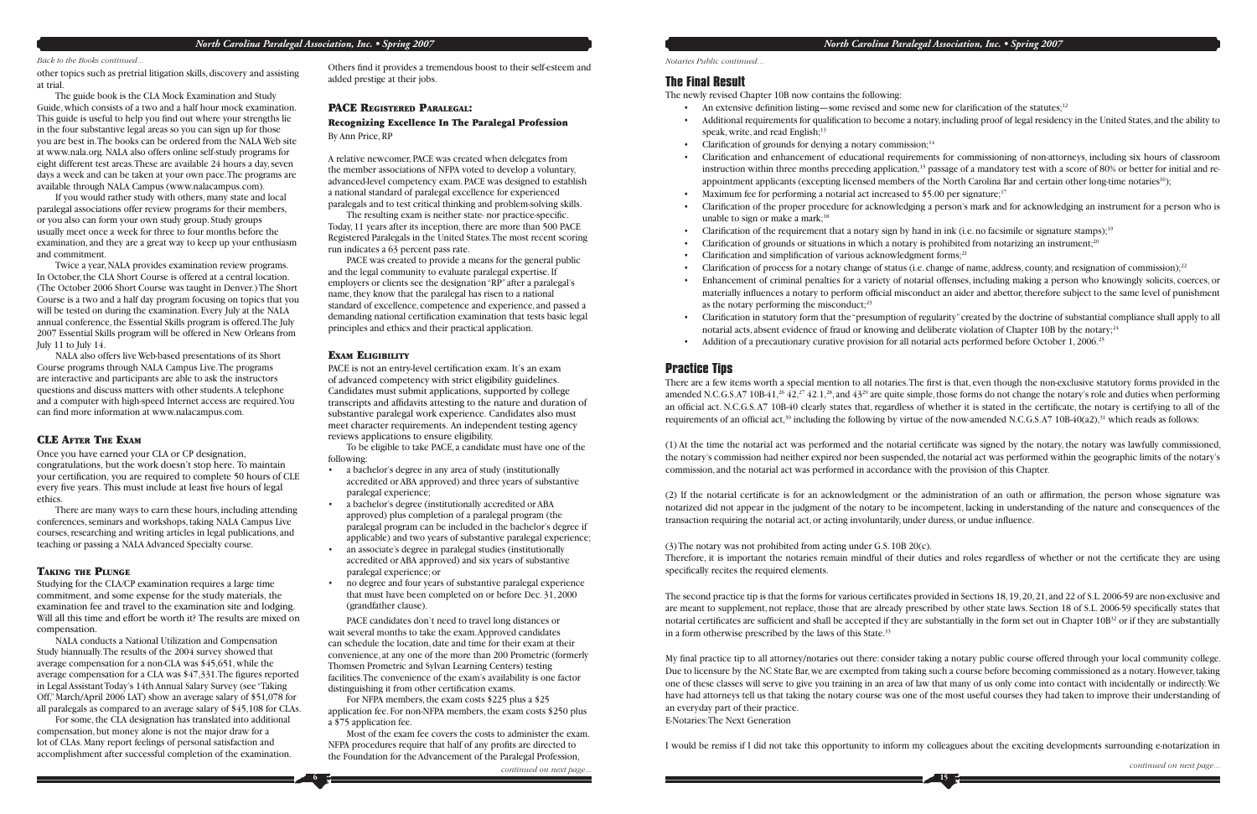other topics such as pretrial litigation skills, discovery and assisting at trial.

The guide book is the CLA Mock Examination and Study Guide, which consists of a two and a half hour mock examination. This guide is useful to help you find out where your strengths lie in the four substantive legal areas so you can sign up for those you are best in. The books can be ordered from the NALA Web site at www.nala.org. NALA also offers online self-study programs for eight different test areas. These are available 24 hours a day, seven days a week and can be taken at your own pace. The programs are available through NALA Campus (www.nalacampus.com).

NALA also offers live Web-based presentations of its Short Course programs through NALA Campus Live. The programs are interactive and participants are able to ask the instructors questions and discuss matters with other students. A telephone and a computer with high-speed Internet access are required. You can find more information at www.nalacampus.com.

If you would rather study with others, many state and local paralegal associations offer review programs for their members, or you also can form your own study group. Study groups usually meet once a week for three to four months before the examination, and they are a great way to keep up your enthusiasm and commitment.

Twice a year, NALA provides examination review programs. In October, the CLA Short Course is offered at a central location. (The October 2006 Short Course was taught in Denver.) The Short Course is a two and a half day program focusing on topics that you will be tested on during the examination. Every July at the NALA annual conference, the Essential Skills program is offered. The July 2007 Essential Skills program will be offered in New Orleans from July 11 to July 14.

Others find it provides a tremendous boost to their self-esteem and added prestige at their jobs.

#### CLE AFTER THE EXAM

Once you have earned your CLA or CP designation, congratulations, but the work doesn't stop here. To maintain your certification, you are required to complete 50 hours of CLE every five years. This must include at least five hours of legal ethics.

The resulting exam is neither state- nor practice-specific. Today, 11 years after its inception, there are more than 500 PACE Registered Paralegals in the United States. The most recent scoring run indicates a 63 percent pass rate.

There are many ways to earn these hours, including attending conferences, seminars and workshops, taking NALA Campus Live courses, researching and writing articles in legal publications, and teaching or passing a NALA Advanced Specialty course.

#### TAKING THE PLUNGE

PACE is not an entry-level certification exam. It's an exam of advanced competency with strict eligibility guidelines. Candidates must submit applications, supported by college transcripts and affidavits attesting to the nature and duration of substantive paralegal work experience. Candidates also must meet character requirements. An independent testing agency reviews applications to ensure eligibility.

Studying for the CLA/CP examination requires a large time commitment, and some expense for the study materials, the examination fee and travel to the examination site and lodging. Will all this time and effort be worth it? The results are mixed on compensation.

PACE candidates don't need to travel long distances or wait several months to take the exam. Approved candidates can schedule the location, date and time for their exam at their convenience, at any one of the more than 200 Prometric (formerly Thomsen Prometric and Sylvan Learning Centers) testing facilities. The convenience of the exam's availability is one factor distinguishing it from other certification exams.

NALA conducts a National Utilization and Compensation Study biannually. The results of the 2004 survey showed that average compensation for a non-CLA was \$45,651, while the average compensation for a CLA was  $$47,331$ . The figures reported in Legal Assistant Today's 14th Annual Salary Survey (see "Taking Off," March/April 2006 LAT) show an average salary of \$51,078 for all paralegals as compared to an average salary of \$45,108 for CLAs.

For some, the CLA designation has translated into additional compensation, but money alone is not the major draw for a lot of CLAs. Many report feelings of personal satisfaction and accomplishment after successful completion of the examination.

#### PACE REGISTERED PARALEGAL:

#### Recognizing Excellence In The Paralegal Profession By Ann Price, RP

A relative newcomer, PACE was created when delegates from the member associations of NFPA voted to develop a voluntary, advanced-level competency exam. PACE was designed to establish a national standard of paralegal excellence for experienced paralegals and to test critical thinking and problem-solving skills.

> • Enhancement of criminal penalties for a variety of notarial offenses, including making a person who knowingly solicits, coerces, or materially influences a notary to perform official misconduct an aider and abettor, therefore subject to the same level of punishment

PACE was created to provide a means for the general public and the legal community to evaluate paralegal expertise. If employers or clients see the designation "RP" after a paralegal's name, they know that the paralegal has risen to a national standard of excellence, competence and experience, and passed a demanding national certification examination that tests basic legal principles and ethics and their practical application.

#### EXAM ELIGIBILITY

**6**

(1) At the time the notarial act was performed and the notarial certificate was signed by the notary, the notary was lawfully commissioned, the notary's commission had neither expired nor been suspended, the notarial act was performed within the geographic limits of the notary's commission, and the notarial act was performed in accordance with the provision of this Chapter.

(2) If the notarial certificate is for an acknowledgment or the administration of an oath or affirmation, the person whose signature was notarized did not appear in the judgment of the notary to be incompetent, lacking in understanding of the nature and consequences of the transaction requiring the notarial act, or acting involuntarily, under duress, or undue influence.

(3) The notary was not prohibited from acting under G.S. 10B 20(c). Therefore, it is important the notaries remain mindful of their duties and roles regardless of whether or not the certificate they are using specifically recites the required elements.

To be eligible to take PACE, a candidate must have one of the following:

- a bachelor's degree in any area of study (institutionally accredited or ABA approved) and three years of substantive paralegal experience;
- a bachelor's degree (institutionally accredited or ABA approved) plus completion of a paralegal program (the paralegal program can be included in the bachelor's degree if applicable) and two years of substantive paralegal experience;
- an associate's degree in paralegal studies (institutionally accredited or ABA approved) and six years of substantive paralegal experience; or
- no degree and four years of substantive paralegal experience that must have been completed on or before Dec. 31, 2000 (grandfather clause).

The second practice tip is that the forms for various certificates provided in Sections 18, 19, 20, 21, and 22 of S.L. 2006-59 are non-exclusive and are meant to supplement, not replace, those that are already prescribed by other state laws. Section 18 of S.L. 2006-59 specifically states that notarial certificates are sufficient and shall be accepted if they are substantially in the form set out in Chapter  $10B<sup>32</sup>$  or if they are substantially in a form otherwise prescribed by the laws of this State.33

My final practice tip to all attorney/notaries out there: consider taking a notary public course offered through your local community college. Due to licensure by the NC State Bar, we are exempted from taking such a course before becoming commissioned as a notary. However, taking one of these classes will serve to give you training in an area of law that many of us only come into contact with incidentally or indirectly. We have had attorneys tell us that taking the notary course was one of the most useful courses they had taken to improve their understanding of an everyday part of their practice. E-Notaries: The Next Generation

For NFPA members, the exam costs \$225 plus a \$25 application fee. For non-NFPA members, the exam costs \$250 plus a \$75 application fee.

Most of the exam fee covers the costs to administer the exam. NFPA procedures require that half of any profits are directed to the Foundation for the Advancement of the Paralegal Profession,

**15**

#### **The Final Result**

The newly revised Chapter 10B now contains the following:

- - speak, write, and read English; $13$
- Clarification of grounds for denying a notary commission;<sup>14</sup>
- 
- Maximum fee for performing a notarial act increased to \$5.00 per signature;<sup>17</sup>
- unable to sign or make a mark; $18$
- Clarification of the requirement that a notary sign by hand in ink (i.e. no facsimile or signature stamps);<sup>19</sup>
- Clarification of grounds or situations in which a notary is prohibited from notarizing an instrument; $^{20}$
- Clarification and simplification of various acknowledgment forms;<sup>21</sup>
- 
- as the notary performing the misconduct;<sup>23</sup>
- notarial acts, absent evidence of fraud or knowing and deliberate violation of Chapter 10B by the notary;<sup>24</sup>
- Addition of a precautionary curative provision for all notarial acts performed before October 1, 2006.<sup>25</sup>

• Clarifi cation of the proper procedure for acknowledging a person's mark and for acknowledging an instrument for a person who is

Clarification of process for a notary change of status (i.e. change of name, address, county, and resignation of commission);<sup>22</sup>

• Clarifi cation in statutory form that the "presumption of regularity" created by the doctrine of substantial compliance shall apply to all

There are a few items worth a special mention to all notaries. The first is that, even though the non-exclusive statutory forms provided in the amended N.C.G.S.A7 10B-41,<sup>26</sup> 42,<sup>27</sup> 42.1,<sup>28</sup>, and 43<sup>29</sup> are quite simple, those forms do not change the notary's role and duties when performing an official act. N.C.G.S. A7 10B-40 clearly states that, regardless of whether it is stated in the certificate, the notary is certifying to all of the requirements of an official act, $30$  including the following by virtue of the now-amended N.C.G.S.A7 10B-40(a2), $31$  which reads as follows:

#### **Practice Tips**

I would be remiss if I did not take this opportunity to inform my colleagues about the exciting developments surrounding e-notarization in

• An extensive definition listing—some revised and some new for clarification of the statutes;<sup>12</sup>

• Additional requirements for qualification to become a notary, including proof of legal residency in the United States, and the ability to

• Clarification and enhancement of educational requirements for commissioning of non-attorneys, including six hours of classroom instruction within three months preceding application,<sup>15</sup> passage of a mandatory test with a score of 80% or better for initial and reappointment applicants (excepting licensed members of the North Carolina Bar and certain other long-time notaries<sup>16</sup>);

*Notaries Public continued...*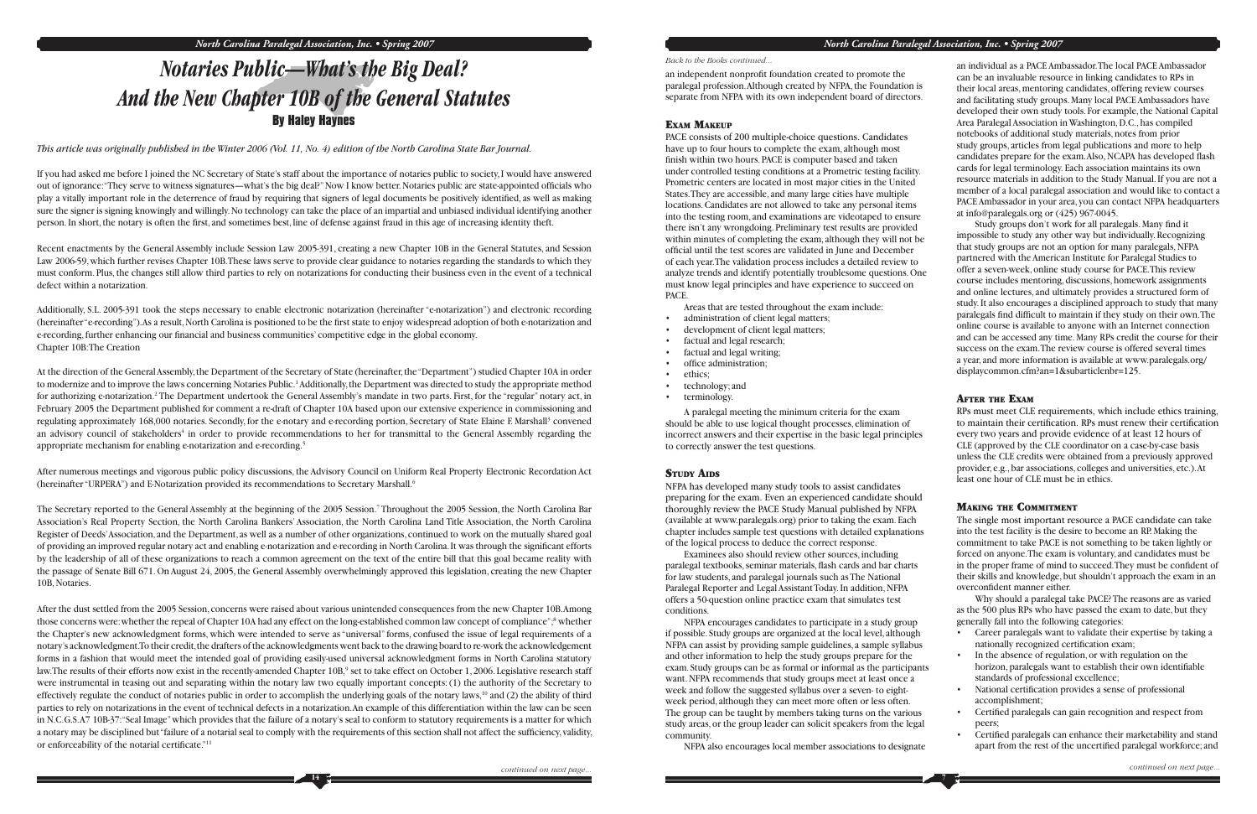If you had asked me before I joined the NC Secretary of State's staff about the importance of notaries public to society, I would have answered out of ignorance: "They serve to witness signatures—what's the big deal?" Now I know better. Notaries public are state-appointed officials who play a vitally important role in the deterrence of fraud by requiring that signers of legal documents be positively identified, as well as making sure the signer is signing knowingly and willingly. No technology can take the place of an impartial and unbiased individual identifying another person. In short, the notary is often the first, and sometimes best, line of defense against fraud in this age of increasing identity theft.

*This article was originally published in the Winter 2006 (Vol. 11, No. 4) edition of the North Carolina State Bar Journal.*

At the direction of the General Assembly, the Department of the Secretary of State (hereinafter, the "Department") studied Chapter 10A in order to modernize and to improve the laws concerning Notaries Public.<sup>1</sup> Additionally, the Department was directed to study the appropriate method for authorizing e-notarization.<sup>2</sup> The Department undertook the General Assembly's mandate in two parts. First, for the "regular" notary act, in February 2005 the Department published for comment a re-draft of Chapter 10A based upon our extensive experience in commissioning and regulating approximately 168,000 notaries. Secondly, for the e-notary and e-recording portion, Secretary of State Elaine F. Marshall3 convened an advisory council of stakeholders<sup>4</sup> in order to provide recommendations to her for transmittal to the General Assembly regarding the appropriate mechanism for enabling e-notarization and e-recording.<sup>5</sup>

Recent enactments by the General Assembly include Session Law 2005-391, creating a new Chapter 10B in the General Statutes, and Session Law 2006-59, which further revises Chapter 10B. These laws serve to provide clear guidance to notaries regarding the standards to which they must conform. Plus, the changes still allow third parties to rely on notarizations for conducting their business even in the event of a technical defect within a notarization.

Additionally, S.L. 2005-391 took the steps necessary to enable electronic notarization (hereinafter "e-notarization") and electronic recording (hereinafter "e-recording"). As a result, North Carolina is positioned to be the first state to enjoy widespread adoption of both e-notarization and e-recording, further enhancing our financial and business communities' competitive edge in the global economy. Chapter 10B: The Creation

After the dust settled from the 2005 Session, concerns were raised about various unintended consequences from the new Chapter 10B. Among those concerns were: whether the repeal of Chapter 10A had any effect on the long-established common law concept of compliance"; 8 whether the Chapter's new acknowledgment forms, which were intended to serve as "universal" forms, confused the issue of legal requirements of a notary's acknowledgment. To their credit, the drafters of the acknowledgments went back to the drawing board to re-work the acknowledgement forms in a fashion that would meet the intended goal of providing easily-used universal acknowledgment forms in North Carolina statutory law. The results of their efforts now exist in the recently-amended Chapter 10B,<sup>9</sup> set to take effect on October 1, 2006. Legislative research staff were instrumental in teasing out and separating within the notary law two equally important concepts: (1) the authority of the Secretary to effectively regulate the conduct of notaries public in order to accomplish the underlying goals of the notary laws,<sup>10</sup> and (2) the ability of third parties to rely on notarizations in the event of technical defects in a notarization. An example of this differentiation within the law can be seen in N.C.G.S. A7 10B-37: "Seal Image" which provides that the failure of a notary's seal to conform to statutory requirements is a matter for which a notary may be disciplined but "failure of a notarial seal to comply with the requirements of this section shall not affect the sufficiency, validity, or enforceability of the notarial certificate."<sup>11</sup>

After numerous meetings and vigorous public policy discussions, the Advisory Council on Uniform Real Property Electronic Recordation Act (hereinafter "URPERA") and E-Notarization provided its recommendations to Secretary Marshall.6

an independent nonprofit foundation created to promote the paralegal profession. Although created by NFPA, the Foundation is separate from NFPA with its own independent board of directors.

#### EXAM MAKEUP

The Secretary reported to the General Assembly at the beginning of the 2005 Session.7 Throughout the 2005 Session, the North Carolina Bar Association's Real Property Section, the North Carolina Bankers' Association, the North Carolina Land Title Association, the North Carolina Register of Deeds' Association, and the Department, as well as a number of other organizations, continued to work on the mutually shared goal of providing an improved regular notary act and enabling e-notarization and e-recording in North Carolina. It was through the significant efforts by the leadership of all of these organizations to reach a common agreement on the text of the entire bill that this goal became reality with the passage of Senate Bill 671. On August 24, 2005, the General Assembly overwhelmingly approved this legislation, creating the new Chapter 10B, Notaries.

Study groups don't work for all paralegals. Many find it impossible to study any other way but individually. Recognizing that study groups are not an option for many paralegals, NFPA partnered with the American Institute for Paralegal Studies to offer a seven-week, online study course for PACE. This review course includes mentoring, discussions, homework assignments and online lectures, and ultimately provides a structured form of study. It also encourages a disciplined approach to study that many paralegals find difficult to maintain if they study on their own. The online course is available to anyone with an Internet connection and can be accessed any time. Many RPs credit the course for their success on the exam. The review course is offered several times a year, and more information is available at www.paralegals.org/ displaycommon.cfm?an=1&subarticlenbr=125.

The single most important resource a PACE candidate can take into the test facility is the desire to become an RP. Making the commitment to take PACE is not something to be taken lightly or forced on anyone. The exam is voluntary, and candidates must be in the proper frame of mind to succeed. They must be confident of their skills and knowledge, but shouldn't approach the exam in an overconfident manner either.

# *Notaries Public—What's the Big Deal? And the New Chapter 10B of the General Statutes* **By Haley Haynes**

**7**

- Career paralegals want to validate their expertise by taking a nationally recognized certification exam;
- In the absence of regulation, or with regulation on the horizon, paralegals want to establish their own identifiable standards of professional excellence;
- National certification provides a sense of professional accomplishment;
- Certified paralegals can gain recognition and respect from peers;
- Certified paralegals can enhance their marketability and stand apart from the rest of the uncertified paralegal workforce; and

PACE consists of 200 multiple-choice questions. Candidates have up to four hours to complete the exam, although most finish within two hours. PACE is computer based and taken under controlled testing conditions at a Prometric testing facility. Prometric centers are located in most major cities in the United States. They are accessible, and many large cities have multiple locations. Candidates are not allowed to take any personal items into the testing room, and examinations are videotaped to ensure there isn't any wrongdoing. Preliminary test results are provided within minutes of completing the exam, although they will not be official until the test scores are validated in June and December of each year. The validation process includes a detailed review to analyze trends and identify potentially troublesome questions. One must know legal principles and have experience to succeed on PACE.

Areas that are tested throughout the exam include:

- administration of client legal matters;
- development of client legal matters;
- factual and legal research;
- factual and legal writing;
- office administration:
- ethics;
- technology; and
- terminology.

A paralegal meeting the minimum criteria for the exam should be able to use logical thought processes, elimination of incorrect answers and their expertise in the basic legal principles to correctly answer the test questions.

#### STUDY AIDS

NFPA has developed many study tools to assist candidates preparing for the exam. Even an experienced candidate should thoroughly review the PACE Study Manual published by NFPA (available at www.paralegals.org) prior to taking the exam. Each chapter includes sample test questions with detailed explanations of the logical process to deduce the correct response.

Examinees also should review other sources, including paralegal textbooks, seminar materials, flash cards and bar charts for law students, and paralegal journals such as The National Paralegal Reporter and Legal Assistant Today. In addition, NFPA offers a 50-question online practice exam that simulates test conditions.

NFPA encourages candidates to participate in a study group if possible. Study groups are organized at the local level, although NFPA can assist by providing sample guidelines, a sample syllabus and other information to help the study groups prepare for the exam. Study groups can be as formal or informal as the participants want. NFPA recommends that study groups meet at least once a week and follow the suggested syllabus over a seven- to eightweek period, although they can meet more often or less often. The group can be taught by members taking turns on the various study areas, or the group leader can solicit speakers from the legal community.

NFPA also encourages local member associations to designate

an individual as a PACE Ambassador. The local PACE Ambassador can be an invaluable resource in linking candidates to RPs in their local areas, mentoring candidates, offering review courses and facilitating study groups. Many local PACE Ambassadors have developed their own study tools. For example, the National Capital Area Paralegal Association in Washington, D.C., has compiled notebooks of additional study materials, notes from prior study groups, articles from legal publications and more to help candidates prepare for the exam. Also, NCAPA has developed flash cards for legal terminology. Each association maintains its own resource materials in addition to the Study Manual. If you are not a member of a local paralegal association and would like to contact a PACE Ambassador in your area, you can contact NFPA headquarters at info@paralegals.org or (425) 967-0045.

#### AFTER THE EXAM

RPs must meet CLE requirements, which include ethics training, to maintain their certification. RPs must renew their certification every two years and provide evidence of at least 12 hours of CLE (approved by the CLE coordinator on a case-by-case basis unless the CLE credits were obtained from a previously approved provider, e.g., bar associations, colleges and universities, etc.). At least one hour of CLE must be in ethics.

#### MAKING THE COMMITMENT

Why should a paralegal take PACE? The reasons are as varied as the 500 plus RPs who have passed the exam to date, but they generally fall into the following categories:

#### *Back to the Books continued...*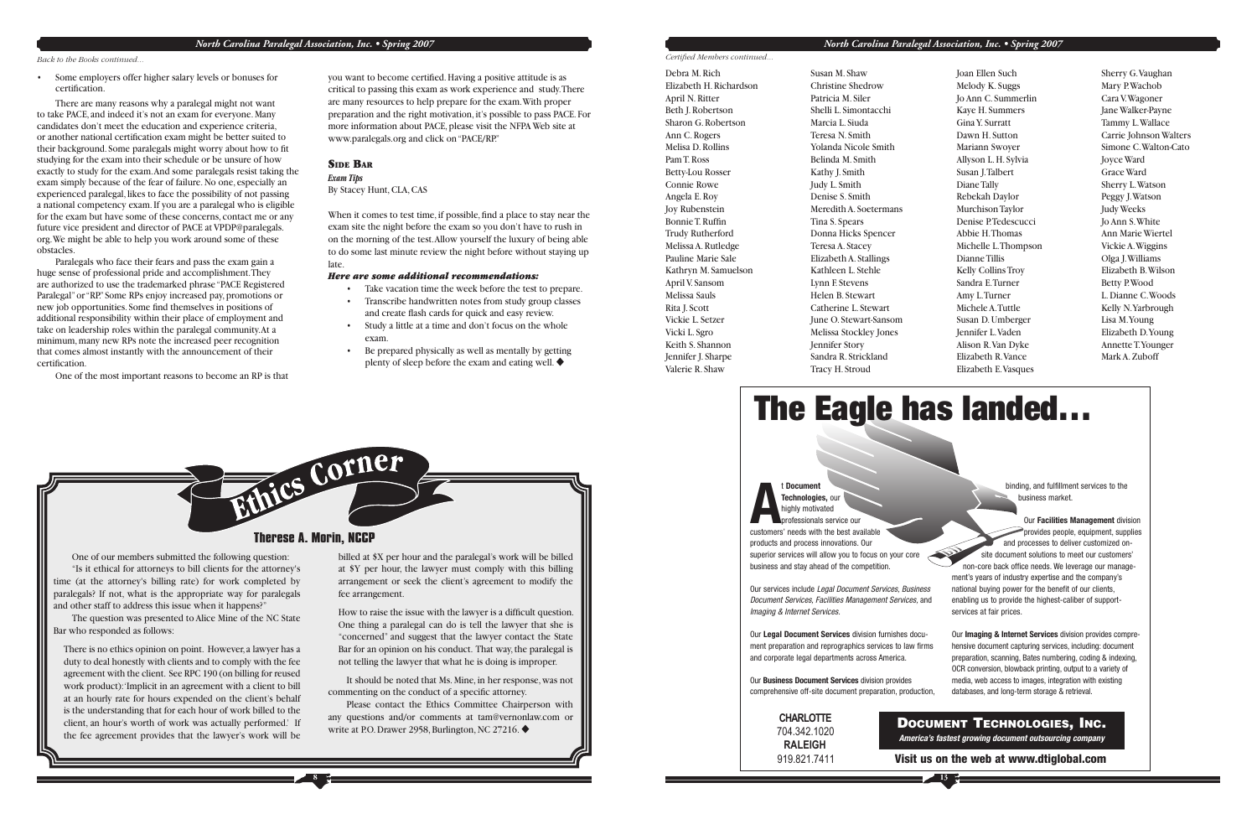#### *North Carolina Paralegal Association, Inc. • Spring 2007*

• Some employers offer higher salary levels or bonuses for certifi cation.

Paralegals who face their fears and pass the exam gain a huge sense of professional pride and accomplishment. They are authorized to use the trademarked phrase "PACE Registered Paralegal" or "RP." Some RPs enjoy increased pay, promotions or new job opportunities. Some find themselves in positions of additional responsibility within their place of employment and take on leadership roles within the paralegal community. At a minimum, many new RPs note the increased peer recognition that comes almost instantly with the announcement of their certification.

There are many reasons why a paralegal might not want to take PACE, and indeed it's not an exam for everyone. Many candidates don't meet the education and experience criteria, or another national certification exam might be better suited to their background. Some paralegals might worry about how to fit studying for the exam into their schedule or be unsure of how exactly to study for the exam. And some paralegals resist taking the exam simply because of the fear of failure. No one, especially an experienced paralegal, likes to face the possibility of not passing a national competency exam. If you are a paralegal who is eligible for the exam but have some of these concerns, contact me or any future vice president and director of PACE at VPDP@paralegals. org. We might be able to help you work around some of these obstacles.

you want to become certified. Having a positive attitude is as critical to passing this exam as work experience and study. There are many resources to help prepare for the exam. With proper preparation and the right motivation, it's possible to pass PACE. For more information about PACE, please visit the NFPA Web site at www.paralegals.org and click on "PACE/RP."

When it comes to test time, if possible, find a place to stay near the exam site the night before the exam so you don't have to rush in on the morning of the test. Allow yourself the luxury of being able to do some last minute review the night before without staying up late.

- Take vacation time the week before the test to prepare.
- Transcribe handwritten notes from study group classes and create flash cards for quick and easy review.
- Study a little at a time and don't focus on the whole exam.
- Be prepared physically as well as mentally by getting plenty of sleep before the exam and eating well.  $\blacklozenge$

**Certified Members continued...** 

One of the most important reasons to become an RP is that

*Back to the Books continued...*

Ethics Corner **Therese A. Morin, NCCP**

**8**

#### SIDE BAR

*Exam Tips* By Stacey Hunt, CLA, CAS

How to raise the issue with the lawyer is a difficult question. One thing a paralegal can do is tell the lawyer that she is "concerned" and suggest that the lawyer contact the State Bar for an opinion on his conduct. That way, the paralegal is not telling the lawyer that what he is doing is improper.

 It should be noted that Ms. Mine, in her response, was not commenting on the conduct of a specific attorney.

 Please contact the Ethics Committee Chairperson with any questions and/or comments at tam@vernonlaw.com or write at P.O. Drawer 2958, Burlington, NC 27216. ♦



#### *Here are some additional recommendations:*

 One of our members submitted the following question: "Is it ethical for attorneys to bill clients for the attorney's time (at the attorney's billing rate) for work completed by paralegals? If not, what is the appropriate way for paralegals and other staff to address this issue when it happens?"

 The question was presented to Alice Mine of the NC State Bar who responded as follows:

There is no ethics opinion on point. However, a lawyer has a duty to deal honestly with clients and to comply with the fee agreement with the client. See RPC 190 (on billing for reused work product): 'Implicit in an agreement with a client to bill at an hourly rate for hours expended on the client's behalf is the understanding that for each hour of work billed to the client, an hour's worth of work was actually performed.' If the fee agreement provides that the lawyer's work will be

billed at \$X per hour and the paralegal's work will be billed at \$Y per hour, the lawyer must comply with this billing arrangement or seek the client's agreement to modify the fee arrangement.

**13**

Debra M. RichElizabeth H. Richardson April N. Ritter Beth J. Robertson Sharon G. Robertson Ann C. Rogers Melisa D. RollinsPam T. RossBetty-Lou Rosser Connie RoweAngela E. Roy Joy Rubenstein Bonnie T. Ruffin Trudy Rutherford Melissa A. Rutledge Pauline Marie SaleKathryn M. Samuelson April V. Sansom Melissa SaulsRita J. Scott Vickie L. SetzerVicki L. Sgro Keith S. Shannon Jennifer J. Sharpe Valerie R. Shaw

Susan M. ShawChristine Shedrow Patricia M. SilerShelli L. SimontacchiMarcia L. SiudaTeresa N. Smith Yolanda Nicole SmithBelinda M. SmithKathy J. Smith Judy L. Smith Denise S. SmithMeredith A. Soetermans Tina S. Spears Donna Hicks Spencer Teresa A. Stacey Elizabeth A. Stallings Kathleen L. Stehle Lynn F. Stevens Helen B. StewartCatherine L. StewartJune O. Stewart-Sansom Melissa Stockley Jones Jennifer Story Sandra R. Strickland Tracy H. Stroud

Joan Ellen Such Melody K. Suggs Jo Ann C. Summerlin Kaye H. Summers Gina Y. SurrattDawn H. Sutton Mariann Swoyer Allyson L. H. Sylvia Susan J. Talbert Diane Tally Rebekah Daylor Murchison Taylor Denise P. Tedescucci Abbie H. ThomasMichelle L. Thompson Dianne Tillis Kelly Collins Troy Sandra E. Turner Amy L. Turner Michele A. TuttleSusan D. Umberger Jennifer L. Vaden Alison R. Van Dyke Elizabeth R. Vance Elizabeth E. Vasques

Sherry G. Vaughan Mary P. Wachob Cara V. Wagoner Jane Walker-Payne Tammy L. Wallace Carrie Johnson Walters Simone C. Walton-Cato Joyce Ward Grace WardSherry L. Watson Peggy J. Watson Judy Weeks Jo Ann S. White Ann Marie WiertelVickie A. Wiggins Olga J. Williams Elizabeth B. Wilson Betty P. Wood L. Dianne C. WoodsKelly N. Yarbrough Lisa M. Young Elizabeth D. Young Annette T. Younger Mark A. Zuboff

t **Document**

**ATechnologies,** our highly motivated ofessionals service our customers' needs with the best availableproducts and process innovations. Our superior services will allow you to focus on your core business and stay ahead of the competition.

Our services include Legal Document Services, Business Document Services, Facilities Management Services, and Imaging & Internet Services.

Our **Legal Document Services** division furnishes document preparation and reprographics services to law firms and corporate legal departments across America.

Our **Business Document Services** division provides comprehensive off-site document preparation, production, binding, and fulfillment services to the business market.

Our **Facilities Management** division provides people, equipment, supplies and processes to deliver customized onsite document solutions to meet our customers' non-core back office needs. We leverage our management's years of industry expertise and the company's national buying power for the benefit of our clients, enabling us to provide the highest-caliber of supportservices at fair prices.

Our **Imaging & Internet Services** division provides comprehensive document capturing services, including: document preparation, scanning, Bates numbering, coding & indexing, OCR conversion, blowback printing, output to a variety of media, web access to images, integration with existing databases, and long-term storage & retrieval.



**Visit us on the web at www.dtiglobal.com**

| <b>CHARLOTTE</b> |    |
|------------------|----|
| 704.342.1020     |    |
| <b>RALEIGH</b>   | 41 |
| 919.821.7411     |    |

#### **DOCUMENTTECHNOLOGIES, INC.**

**America's fastest growing document outsourcing company**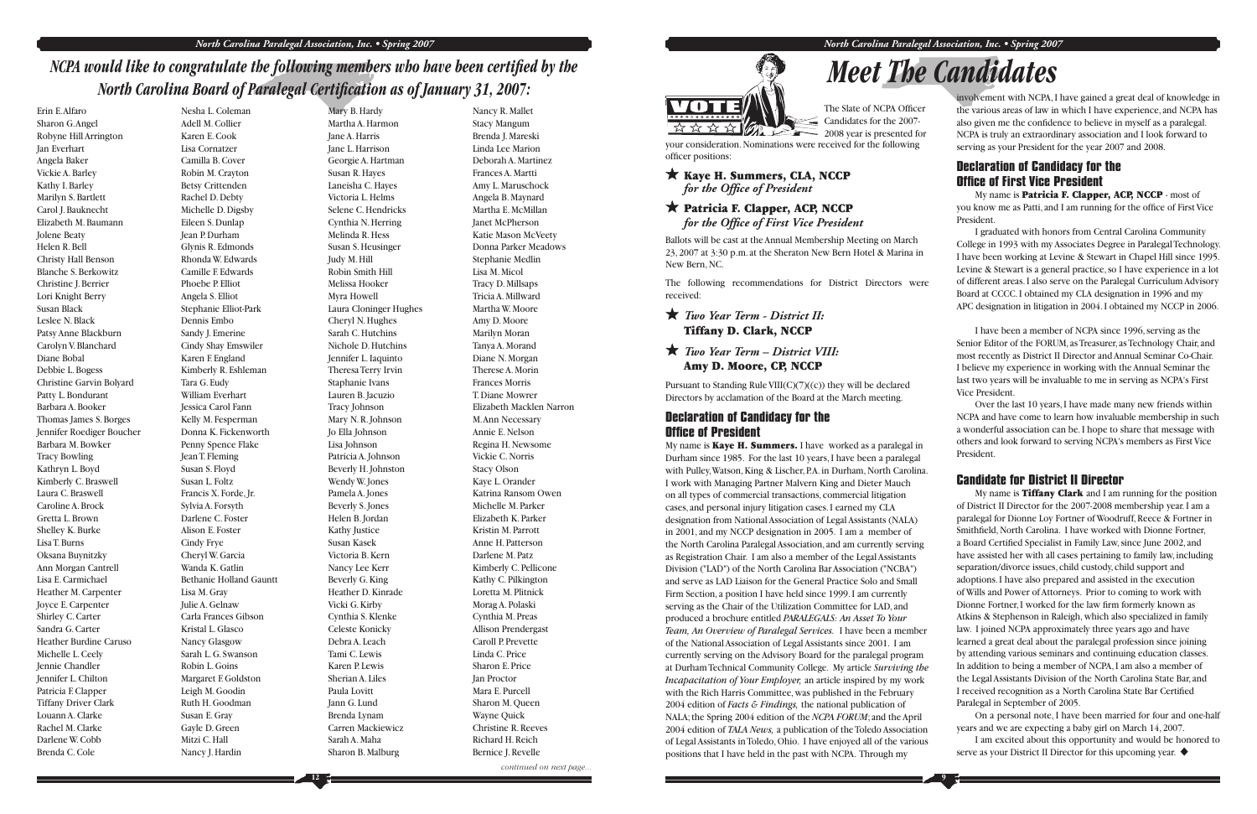## *NCPA would like to congratulate the following members who have been certified by the North Carolina Board of Paralegal Certification as of January 31, 2007:*

Erin E. AlfaroSharon G. Angel Robyne Hill Arrington Jan Everhart Angela Baker Vickie A. Barley Kathy I. Barley Marilyn S. Bartlett Carol J. Bauknecht Elizabeth M. BaumannJolene Beaty Helen R. BellChristy Hall Benson Blanche S. Berkowitz Christine J. Berrier Lori Knight Berry Susan Black Leslee N. Black Patsy Anne Blackburn Carolyn V. Blanchard Diane Bobal Debbie L. Bogess Christine Garvin Bolyard Patty L. Bondurant Barbara A. Booker Thomas James S. Borges Jennifer Roediger Boucher Barbara M. Bowker Tracy Bowling Kathryn L. Boyd Kimberly C. Braswell Laura C. BraswellCaroline A. Brock Gretta L. BrownShelley K. Burke Lisa T. Burns Oksana Buynitzky Ann Morgan Cantrell Lisa E. Carmichael Heather M. Carpenter Joyce E. Carpenter Shirley C. Carter Sandra G. CarterHeather Burdine CarusoMichelle L. Ceely Jennie Chandler Jennifer L. Chilton Patricia F. Clapper Tiffany Driver Clark Louann A. Clarke Rachel M. ClarkeDarlene W. Cobb Brenda C. Cole

Nesha L. ColemanAdell M. Collier Karen E. CookLisa Cornatzer Camilla B. CoverRobin M. Crayton Betsy Crittenden Rachel D. Debty Michelle D. Digsby Eileen S. Dunlap Jean P. Durham Glynis R. Edmonds Rhonda W. Edwards Camille F. EdwardsPhoebe P. Elliot Angela S. Elliot Stephanie Elliot-Park Dennis Embo Sandy J. Emerine Cindy Shay Emswiler Karen F. England Kimberly R. Eshleman Tara G. Eudy William Everhart Jessica Carol Fann Kelly M. Fesperman Donna K. Fickenworth Penny Spence Flake Jean T. Fleming Susan S. Floyd Susan L. Foltz Francis X. Forde, Jr. Sylvia A. Forsyth Darlene C. FosterAlison E. Foster Cindy Frye Cheryl W. Garcia Wanda K. GatlinBethanie Holland Gauntt Lisa M. Gray Julie A. Gelnaw Carla Frances Gibson Kristal L. GlascoNancy Glasgow Sarah L. G. SwansonRobin L. Goins Margaret F. Goldston Leigh M. Goodin Ruth H. Goodman Susan E. Gray Gayle D. Green Mitzi C. Hall Nancy J. Hardin

#### Kaye H. Summers, CLA, NCCP for the Office of President

#### Patricia F. Clapper, ACP, NCCP *for the Office of First Vice President*

#### **Declaration of Candidacy for the Office of President**

Mary B. Hardy Martha A. Harmon Jane A. Harris Jane L. Harrison Georgie A. Hartman Susan R. Hayes Laneisha C. Hayes Victoria L. Helms Selene C. Hendricks Cynthia N. Herring Melinda R. Hess Susan S. Heusinger Judy M. Hill Robin Smith Hill Melissa Hooker Myra Howell Laura Cloninger Hughes Cheryl N. Hughes Sarah C. Hutchins Nichole D. Hutchins Jennifer L. Iaquinto Theresa Terry Irvin Staphanie Ivans Lauren B. Jacuzio Tracy Johnson Mary N. R. Johnson Jo Ella Johnson Lisa Johnson Patricia A. Johnson Beverly H. Johnston Wendy W. Jones Pamela A. Jones Beverly S. Jones Helen B. Jordan Kathy Justice Susan KasekVictoria B. Kern Nancy Lee Kerr Beverly G. King Heather D. Kinrade Vicki G. Kirby Cynthia S. Klenke Celeste Konicky Debra A. LeachTami C. LewisKaren P. Lewis Sherian A. Liles Paula Lovitt Jann G. Lund Brenda Lynam Carren Mackiewicz Sarah A. Maha Sharon B. Malburg

My name is **Kaye H. Summers.** I have worked as a paralegal in Durham since 1985. For the last 10 years, I have been a paralegal with Pulley, Watson, King & Lischer, P.A. in Durham, North Carolina. I work with Managing Partner Malvern King and Dieter Mauch on all types of commercial transactions, commercial litigation cases, and personal injury litigation cases. I earned my CLA designation from National Association of Legal Assistants (NALA) in 2001, and my NCCP designation in 2005. I am a member of the North Carolina Paralegal Association, and am currently serving as Registration Chair. I am also a member of the Legal Assistants Division ("LAD") of the North Carolina Bar Association ("NCBA") and serve as LAD Liaison for the General Practice Solo and Small Firm Section, a position I have held since 1999. I am currently serving as the Chair of the Utilization Committee for LAD, and produced a brochure entitled *PARALEGALS: An Asset To Your Team, An Overview of Paralegal Services.* I have been a member of the National Association of Legal Assistants since 2001. I am currently serving on the Advisory Board for the paralegal program at Durham Technical Community College. My article *Surviving the Incapacitation of Your Employer,* an article inspired by my work with the Rich Harris Committee, was published in the February 2004 edition of *Facts & Findings,* the national publication of NALA; the Spring 2004 edition of the *NCPA FORUM*; and the April 2004 edition of *TALA News,* a publication of the Toledo Association of Legal Assistants in Toledo, Ohio. I have enjoyed all of the various positions that I have held in the past with NCPA. Through my

My name is **Patricia F. Clapper, ACP, NCCP** - most of you know me as Patti, and I am running for the office of First Vice President.

Nancy R. Mallet Stacy Mangum Brenda J. Mareski Linda Lee Marion Deborah A. MartinezFrances A. Martti Amy L. Maruschock Angela B. Maynard Martha E. McMillan Janet McPherson Katie Mason McVeety Donna Parker MeadowsStephanie Medlin Lisa M. Micol Tracy D. Millsaps Tricia A. MillwardMartha W. MooreAmy D. Moore Marilyn Moran Tanya A. Morand Diane N. Morgan Therese A. Morin Frances MorrisT. Diane Mowrer Elizabeth Macklen Narron M. Ann Necessary Annie E. NelsonRegina H. Newsome Vickie C. NorrisStacy Olson Kaye L. Orander Katrina Ransom OwenMichelle M. ParkerElizabeth K. ParkerKristin M. Parrott Anne H. PattersonDarlene M. Patz Kimberly C. Pellicone Kathy C. Pilkington Loretta M. Plitnick Morag A. Polaski Cynthia M. Preas Allison Prendergast Caroll P. PrevetteLinda C. PriceSharon E. Price Jan Proctor Mara E. Purcell Sharon M. Queen Wayne Quick Christine R. Reeves Richard H. Reich Bernice J. Revelle

*continued on next page...*





**9**

# *Meet The Candidates*

Ballots will be cast at the Annual Membership Meeting on March 23, 2007 at 3:30 p.m. at the Sheraton New Bern Hotel & Marina in New Bern, NC.

The following recommendations for District Directors were received:

#### *Two Year Term - District II:*  Tiffany D. Clark, NCCP

*Two Year Term – District VIII:* Amy D. Moore, CP, NCCP

> My name is **Tiffany Clark** and I am running for the position of District II Director for the 2007-2008 membership year. I am a paralegal for Dionne Loy Fortner of Woodruff, Reece & Fortner in Smithfield, North Carolina. I have worked with Dionne Fortner, a Board Certified Specialist in Family Law, since June 2002, and have assisted her with all cases pertaining to family law, including separation/divorce issues, child custody, child support and adoptions. I have also prepared and assisted in the execution of Wills and Power of Attorneys. Prior to coming to work with Dionne Fortner, I worked for the law firm formerly known as Atkins & Stephenson in Raleigh, which also specialized in family law. I joined NCPA approximately three years ago and have learned a great deal about the paralegal profession since joining by attending various seminars and continuing education classes. In addition to being a member of NCPA, I am also a member of the Legal Assistants Division of the North Carolina State Bar, and I received recognition as a North Carolina State Bar Certified Paralegal in September of 2005.

Pursuant to Standing Rule VIII(C)(7)((c)) they will be declared Directors by acclamation of the Board at the March meeting.

> I am excited about this opportunity and would be honored to serve as your District II Director for this upcoming year.  $\blacklozenge$

> involvement with NCPA, I have gained a great deal of knowledge in the various areas of law in which I have experience, and NCPA has also given me the confidence to believe in myself as a paralegal. NCPA is truly an extraordinary association and I look forward to serving as your President for the year 2007 and 2008.

#### **Declaration of Candidacy for the Offi ce of First Vice President**

 I graduated with honors from Central Carolina Community College in 1993 with my Associates Degree in Paralegal Technology. I have been working at Levine & Stewart in Chapel Hill since 1995. Levine & Stewart is a general practice, so I have experience in a lot of different areas. I also serve on the Paralegal Curriculum Advisory Board at CCCC. I obtained my CLA designation in 1996 and my APC designation in litigation in 2004. I obtained my NCCP in 2006.

 I have been a member of NCPA since 1996, serving as the Senior Editor of the FORUM, as Treasurer, as Technology Chair, and most recently as District II Director and Annual Seminar Co-Chair. I believe my experience in working with the Annual Seminar the last two years will be invaluable to me in serving as NCPA's First Vice President.

 Over the last 10 years, I have made many new friends within NCPA and have come to learn how invaluable membership in such a wonderful association can be. I hope to share that message with others and look forward to serving NCPA's members as First Vice President.

#### **Candidate for District II Director**

 On a personal note, I have been married for four and one-half years and we are expecting a baby girl on March 14, 2007.



\*\*\*\*  $2008$  year is presented for your consideration. Nominations were received for the following officer positions: